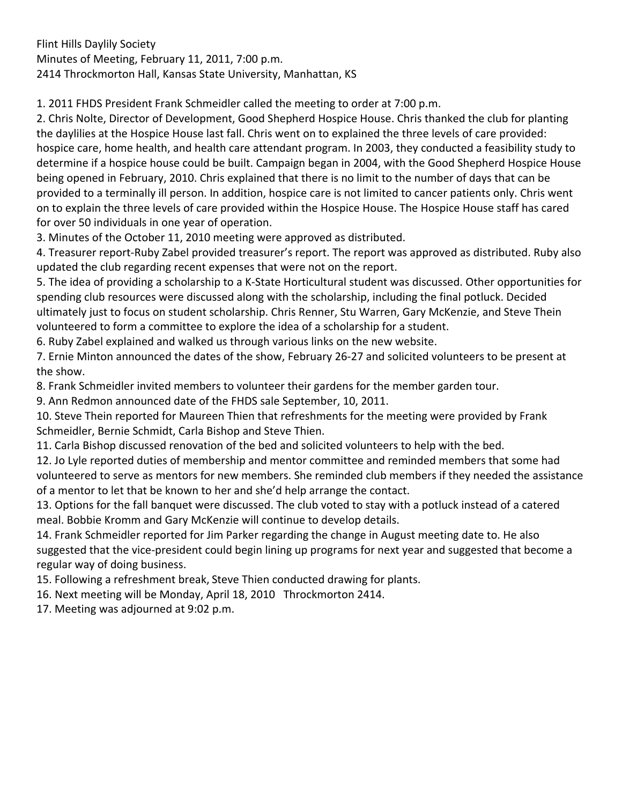Flint Hills Daylily Society Minutes of Meeting, February 11, 2011, 7:00 p.m. 2414 Throckmorton Hall, Kansas State University, Manhattan, KS

1. 2011 FHDS President Frank Schmeidler called the meeting to order at 7:00 p.m.

2. Chris Nolte, Director of Development, Good Shepherd Hospice House. Chris thanked the club for planting the daylilies at the Hospice House last fall. Chris went on to explained the three levels of care provided: hospice care, home health, and health care attendant program. In 2003, they conducted a feasibility study to determine if a hospice house could be built. Campaign began in 2004, with the Good Shepherd Hospice House being opened in February, 2010. Chris explained that there is no limit to the number of days that can be provided to a terminally ill person. In addition, hospice care is not limited to cancer patients only. Chris went on to explain the three levels of care provided within the Hospice House. The Hospice House staff has cared for over 50 individuals in one year of operation.

3. Minutes of the October 11, 2010 meeting were approved as distributed.

4. Treasurer report‐Ruby Zabel provided treasurer's report. The report was approved as distributed. Ruby also updated the club regarding recent expenses that were not on the report.

5. The idea of providing a scholarship to a K‐State Horticultural student was discussed. Other opportunities for spending club resources were discussed along with the scholarship, including the final potluck. Decided ultimately just to focus on student scholarship. Chris Renner, Stu Warren, Gary McKenzie, and Steve Thein volunteered to form a committee to explore the idea of a scholarship for a student.

6. Ruby Zabel explained and walked us through various links on the new website.

7. Ernie Minton announced the dates of the show, February 26‐27 and solicited volunteers to be present at the show.

8. Frank Schmeidler invited members to volunteer their gardens for the member garden tour.

9. Ann Redmon announced date of the FHDS sale September, 10, 2011.

10. Steve Thein reported for Maureen Thien that refreshments for the meeting were provided by Frank Schmeidler, Bernie Schmidt, Carla Bishop and Steve Thien.

11. Carla Bishop discussed renovation of the bed and solicited volunteers to help with the bed.

12. Jo Lyle reported duties of membership and mentor committee and reminded members that some had volunteered to serve as mentors for new members. She reminded club members if they needed the assistance of a mentor to let that be known to her and she'd help arrange the contact.

13. Options for the fall banquet were discussed. The club voted to stay with a potluck instead of a catered meal. Bobbie Kromm and Gary McKenzie will continue to develop details.

14. Frank Schmeidler reported for Jim Parker regarding the change in August meeting date to. He also suggested that the vice-president could begin lining up programs for next year and suggested that become a regular way of doing business.

15. Following a refreshment break, Steve Thien conducted drawing for plants.

16. Next meeting will be Monday, April 18, 2010 Throckmorton 2414.

17. Meeting was adjourned at 9:02 p.m.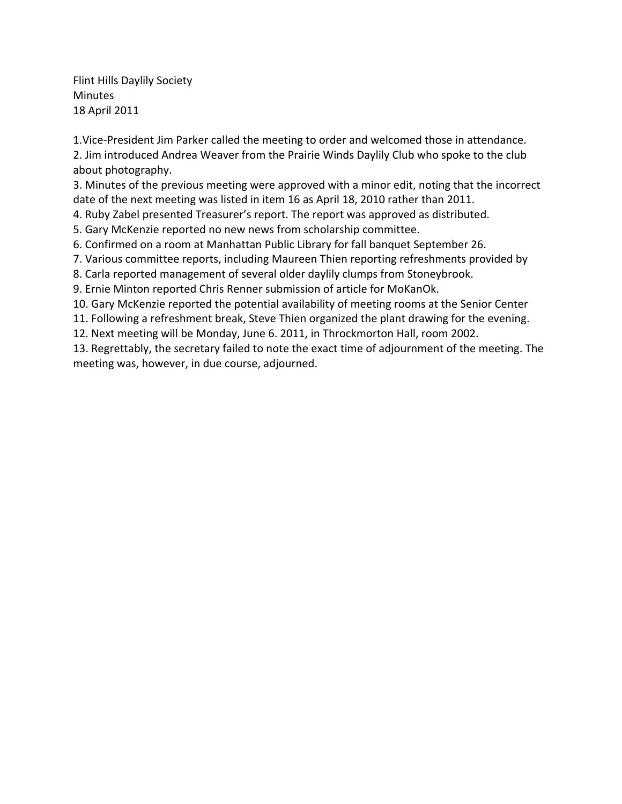Flint Hills Daylily Society Minutes 18 April 2011

1.Vice‐President Jim Parker called the meeting to order and welcomed those in attendance. 2. Jim introduced Andrea Weaver from the Prairie Winds Daylily Club who spoke to the club about photography.

3. Minutes of the previous meeting were approved with a minor edit, noting that the incorrect date of the next meeting was listed in item 16 as April 18, 2010 rather than 2011.

4. Ruby Zabel presented Treasurer's report. The report was approved as distributed.

5. Gary McKenzie reported no new news from scholarship committee.

6. Confirmed on a room at Manhattan Public Library for fall banquet September 26.

7. Various committee reports, including Maureen Thien reporting refreshments provided by

8. Carla reported management of several older daylily clumps from Stoneybrook.

9. Ernie Minton reported Chris Renner submission of article for MoKanOk.

10. Gary McKenzie reported the potential availability of meeting rooms at the Senior Center

11. Following a refreshment break, Steve Thien organized the plant drawing for the evening.

12. Next meeting will be Monday, June 6. 2011, in Throckmorton Hall, room 2002.

13. Regrettably, the secretary failed to note the exact time of adjournment of the meeting. The meeting was, however, in due course, adjourned.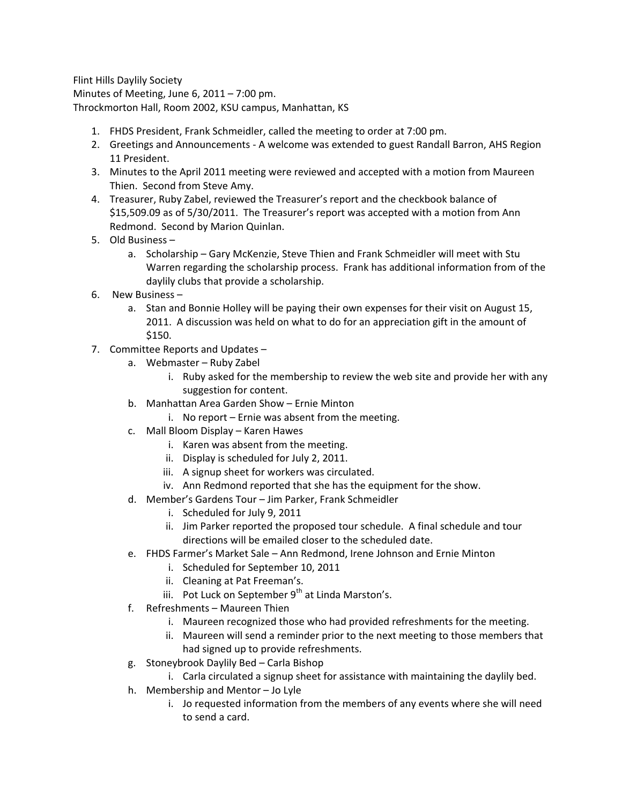Flint Hills Daylily Society Minutes of Meeting, June 6, 2011 – 7:00 pm. Throckmorton Hall, Room 2002, KSU campus, Manhattan, KS

- 1. FHDS President, Frank Schmeidler, called the meeting to order at 7:00 pm.
- 2. Greetings and Announcements ‐ A welcome was extended to guest Randall Barron, AHS Region 11 President.
- 3. Minutes to the April 2011 meeting were reviewed and accepted with a motion from Maureen Thien. Second from Steve Amy.
- 4. Treasurer, Ruby Zabel, reviewed the Treasurer's report and the checkbook balance of \$15,509.09 as of 5/30/2011. The Treasurer's report was accepted with a motion from Ann Redmond. Second by Marion Quinlan.
- 5. Old Business
	- a. Scholarship Gary McKenzie, Steve Thien and Frank Schmeidler will meet with Stu Warren regarding the scholarship process. Frank has additional information from of the daylily clubs that provide a scholarship.
- 6. New Business
	- a. Stan and Bonnie Holley will be paying their own expenses for their visit on August 15, 2011. A discussion was held on what to do for an appreciation gift in the amount of \$150.
- 7. Committee Reports and Updates
	- a. Webmaster Ruby Zabel
		- i. Ruby asked for the membership to review the web site and provide her with any suggestion for content.
	- b. Manhattan Area Garden Show Ernie Minton
		- i. No report Ernie was absent from the meeting.
	- c. Mall Bloom Display Karen Hawes
		- i. Karen was absent from the meeting.
		- ii. Display is scheduled for July 2, 2011.
		- iii. A signup sheet for workers was circulated.
		- iv. Ann Redmond reported that she has the equipment for the show.
	- d. Member's Gardens Tour Jim Parker, Frank Schmeidler
		- i. Scheduled for July 9, 2011
		- ii. Jim Parker reported the proposed tour schedule. A final schedule and tour directions will be emailed closer to the scheduled date.
	- e. FHDS Farmer's Market Sale Ann Redmond, Irene Johnson and Ernie Minton
		- i. Scheduled for September 10, 2011
		- ii. Cleaning at Pat Freeman's.
		- iii. Pot Luck on September  $9^{th}$  at Linda Marston's.
	- f. Refreshments Maureen Thien
		- i. Maureen recognized those who had provided refreshments for the meeting.
		- ii. Maureen will send a reminder prior to the next meeting to those members that had signed up to provide refreshments.
	- g. Stoneybrook Daylily Bed Carla Bishop
		- i. Carla circulated a signup sheet for assistance with maintaining the daylily bed.
	- h. Membership and Mentor Jo Lyle
		- i. Jo requested information from the members of any events where she will need to send a card.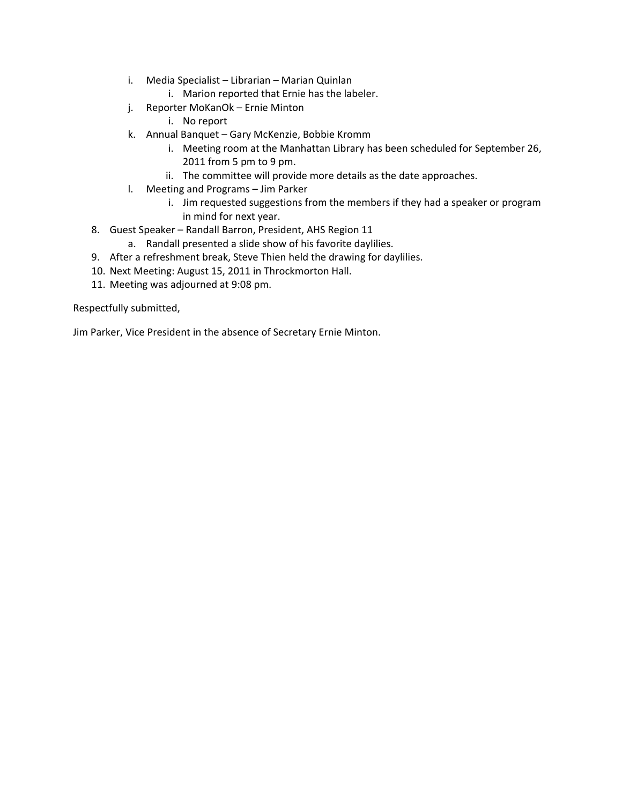- i. Media Specialist Librarian Marian Quinlan
	- i. Marion reported that Ernie has the labeler.
- j. Reporter MoKanOk Ernie Minton
	- i. No report
- k. Annual Banquet Gary McKenzie, Bobbie Kromm
	- i. Meeting room at the Manhattan Library has been scheduled for September 26, 2011 from 5 pm to 9 pm.
	- ii. The committee will provide more details as the date approaches.
- l. Meeting and Programs Jim Parker
	- i. Jim requested suggestions from the members if they had a speaker or program in mind for next year.
- 8. Guest Speaker Randall Barron, President, AHS Region 11
	- a. Randall presented a slide show of his favorite daylilies.
- 9. After a refreshment break, Steve Thien held the drawing for daylilies.
- 10. Next Meeting: August 15, 2011 in Throckmorton Hall.
- 11. Meeting was adjourned at 9:08 pm.

Respectfully submitted,

Jim Parker, Vice President in the absence of Secretary Ernie Minton.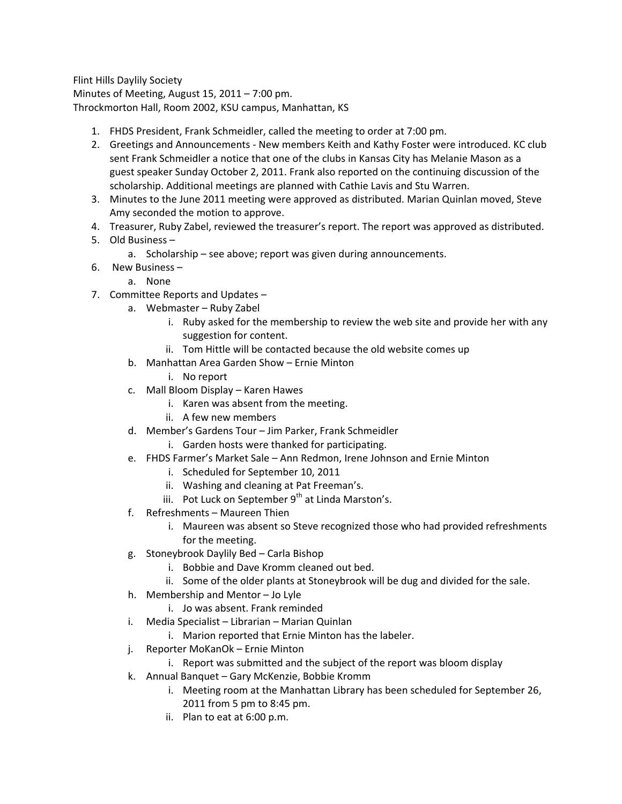Flint Hills Daylily Society Minutes of Meeting, August 15, 2011 – 7:00 pm. Throckmorton Hall, Room 2002, KSU campus, Manhattan, KS

- 1. FHDS President, Frank Schmeidler, called the meeting to order at 7:00 pm.
- 2. Greetings and Announcements ‐ New members Keith and Kathy Foster were introduced. KC club sent Frank Schmeidler a notice that one of the clubs in Kansas City has Melanie Mason as a guest speaker Sunday October 2, 2011. Frank also reported on the continuing discussion of the scholarship. Additional meetings are planned with Cathie Lavis and Stu Warren.
- 3. Minutes to the June 2011 meeting were approved as distributed. Marian Quinlan moved, Steve Amy seconded the motion to approve.
- 4. Treasurer, Ruby Zabel, reviewed the treasurer's report. The report was approved as distributed.
- 5. Old Business
	- a. Scholarship see above; report was given during announcements.
- 6. New Business
	- a. None
- 7. Committee Reports and Updates
	- a. Webmaster Ruby Zabel
		- i. Ruby asked for the membership to review the web site and provide her with any suggestion for content.
		- ii. Tom Hittle will be contacted because the old website comes up
	- b. Manhattan Area Garden Show Ernie Minton
		- i. No report
	- c. Mall Bloom Display Karen Hawes
		- i. Karen was absent from the meeting.
		- ii. A few new members
	- d. Member's Gardens Tour Jim Parker, Frank Schmeidler
		- i. Garden hosts were thanked for participating.
	- e. FHDS Farmer's Market Sale Ann Redmon, Irene Johnson and Ernie Minton
		- i. Scheduled for September 10, 2011
		- ii. Washing and cleaning at Pat Freeman's.
		- iii. Pot Luck on September  $9<sup>th</sup>$  at Linda Marston's.
	- f. Refreshments Maureen Thien
		- i. Maureen was absent so Steve recognized those who had provided refreshments for the meeting.
	- g. Stoneybrook Daylily Bed Carla Bishop
		- i. Bobbie and Dave Kromm cleaned out bed.
		- ii. Some of the older plants at Stoneybrook will be dug and divided for the sale.
	- h. Membership and Mentor Jo Lyle
		- i. Jo was absent. Frank reminded
	- i. Media Specialist Librarian Marian Quinlan
		- i. Marion reported that Ernie Minton has the labeler.
	- j. Reporter MoKanOk Ernie Minton
		- i. Report was submitted and the subject of the report was bloom display
	- k. Annual Banquet Gary McKenzie, Bobbie Kromm
		- i. Meeting room at the Manhattan Library has been scheduled for September 26, 2011 from 5 pm to 8:45 pm.
		- ii. Plan to eat at 6:00 p.m.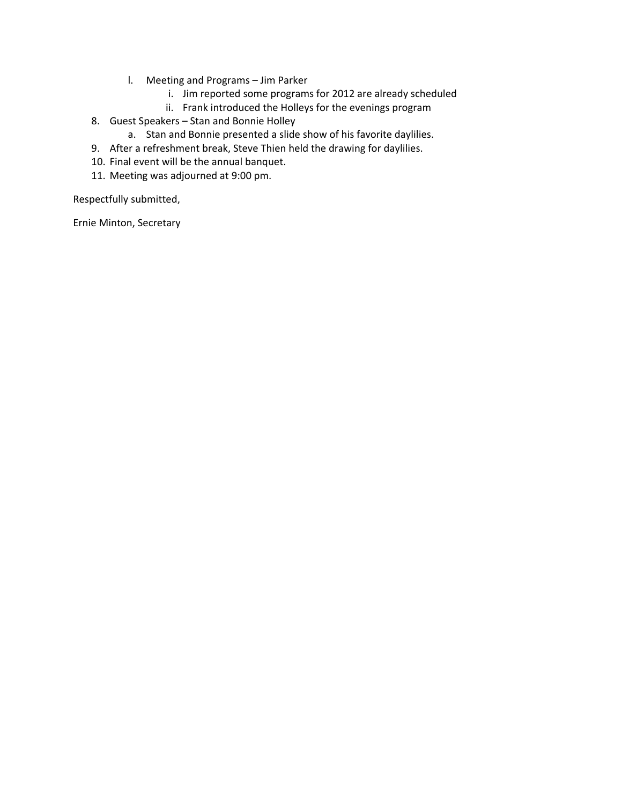- l. Meeting and Programs Jim Parker
	- i. Jim reported some programs for 2012 are already scheduled
	- ii. Frank introduced the Holleys for the evenings program
- 8. Guest Speakers Stan and Bonnie Holley
	- a. Stan and Bonnie presented a slide show of his favorite daylilies.
- 9. After a refreshment break, Steve Thien held the drawing for daylilies.
- 10. Final event will be the annual banquet.
- 11. Meeting was adjourned at 9:00 pm.

Respectfully submitted,

Ernie Minton, Secretary